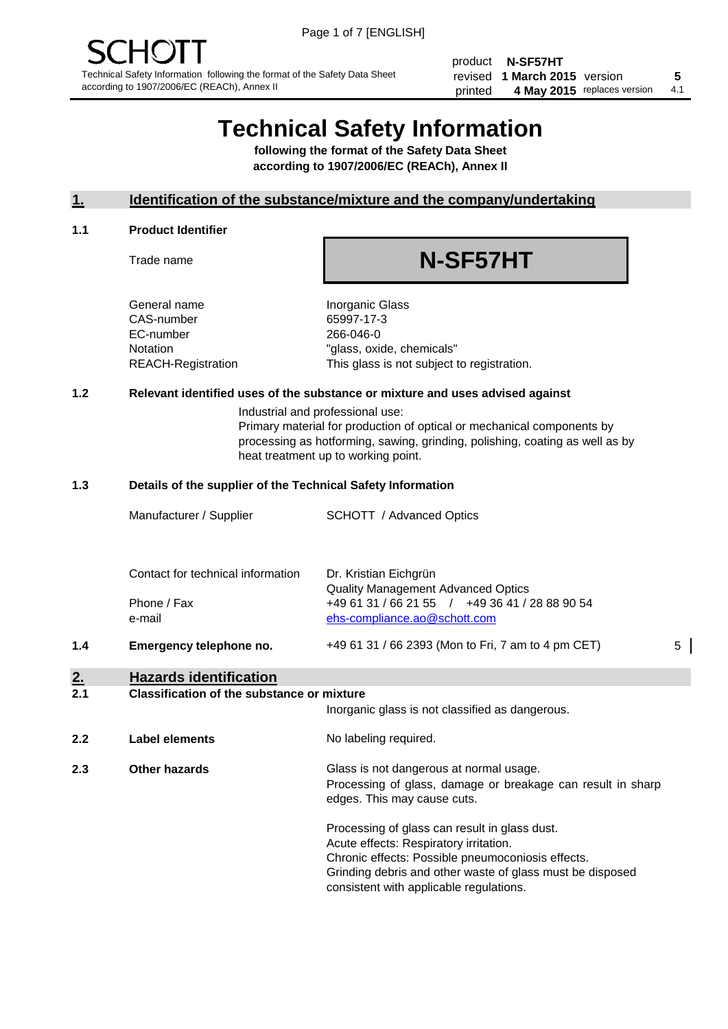product **N-SF57HT** revised **5 1 March 2015** version printed 4 May 2015 replaces version 4.1

## **Technical Safety Information**

**following the format of the Safety Data Sheet according to 1907/2006/EC (REACh), Annex II**

#### **1. Identification of the substance/mixture and the company/undertaking**

#### **1.1 Product Identifier**

Trade name

# **N-SF57HT**

General name **Inorganic Glass** CAS-number 65997-17-3 EC-number 266-046-0

Notation "glass, oxide, chemicals" REACH-Registration This glass is not subject to registration.

#### **1.2 Relevant identified uses of the substance or mixture and uses advised against**

Industrial and professional use: Primary material for production of optical or mechanical components by processing as hotforming, sawing, grinding, polishing, coating as well as by heat treatment up to working point.

#### **1.3 Details of the supplier of the Technical Safety Information**

|     | Manufacturer / Supplier           | <b>SCHOTT</b> / Advanced Optics                                                |   |
|-----|-----------------------------------|--------------------------------------------------------------------------------|---|
|     |                                   |                                                                                |   |
|     | Contact for technical information | Dr. Kristian Eichgrün<br><b>Quality Management Advanced Optics</b>             |   |
|     | Phone / Fax<br>e-mail             | +49 61 31 / 66 21 55 / +49 36 41 / 28 88 90 54<br>ehs-compliance.ao@schott.com |   |
| 1.4 | Emergency telephone no.           | +49 61 31 / 66 2393 (Mon to Fri, 7 am to 4 pm CET)                             | 5 |
|     |                                   |                                                                                |   |

## **2. Hazards identification**

#### **2.1 Classification of the substance or mixture**

|     |                      | Inorganic glass is not classified as dangerous.                                                                                                                                                                                                      |
|-----|----------------------|------------------------------------------------------------------------------------------------------------------------------------------------------------------------------------------------------------------------------------------------------|
| 2.2 | Label elements       | No labeling required.                                                                                                                                                                                                                                |
| 2.3 | <b>Other hazards</b> | Glass is not dangerous at normal usage.<br>Processing of glass, damage or breakage can result in sharp<br>edges. This may cause cuts.                                                                                                                |
|     |                      | Processing of glass can result in glass dust.<br>Acute effects: Respiratory irritation.<br>Chronic effects: Possible pneumoconiosis effects.<br>Grinding debris and other waste of glass must be disposed<br>consistent with applicable regulations. |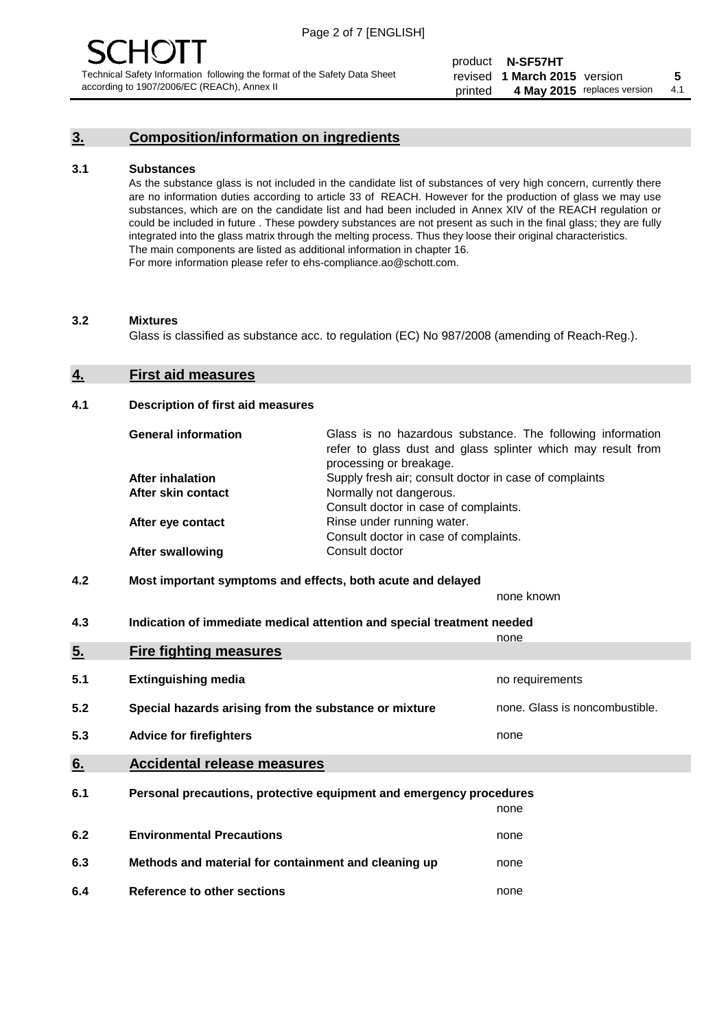### **3. Composition/information on ingredients**

#### **3.1 Substances**

As the substance glass is not included in the candidate list of substances of very high concern, currently there are no information duties according to article 33 of REACH. However for the production of glass we may use substances, which are on the candidate list and had been included in Annex XIV of the REACH regulation or could be included in future . These powdery substances are not present as such in the final glass; they are fully integrated into the glass matrix through the melting process. Thus they loose their original characteristics. The main components are listed as additional information in chapter 16. For more information please refer to ehs-compliance.ao@schott.com.

#### **3.2 Mixtures**

Glass is classified as substance acc. to regulation (EC) No 987/2008 (amending of Reach-Reg.).

#### **4. First aid measures**

#### **4.1 Description of first aid measures**

| <b>General information</b> | Glass is no hazardous substance. The following information<br>refer to glass dust and glass splinter which may result from<br>processing or breakage. |
|----------------------------|-------------------------------------------------------------------------------------------------------------------------------------------------------|
| After inhalation           | Supply fresh air; consult doctor in case of complaints                                                                                                |
| After skin contact         | Normally not dangerous.                                                                                                                               |
|                            | Consult doctor in case of complaints.                                                                                                                 |
| After eye contact          | Rinse under running water.                                                                                                                            |
|                            | Consult doctor in case of complaints.                                                                                                                 |
| <b>After swallowing</b>    | Consult doctor                                                                                                                                        |

#### **4.2 Most important symptoms and effects, both acute and delayed**

none known

**4.3 Indication of immediate medical attention and special treatment needed** 

|     |                                                                     | none                           |
|-----|---------------------------------------------------------------------|--------------------------------|
| 5.  | <b>Fire fighting measures</b>                                       |                                |
| 5.1 | <b>Extinguishing media</b>                                          | no requirements                |
| 5.2 | Special hazards arising from the substance or mixture               | none. Glass is noncombustible. |
| 5.3 | <b>Advice for firefighters</b>                                      | none                           |
| 6.  | <b>Accidental release measures</b>                                  |                                |
| 6.1 | Personal precautions, protective equipment and emergency procedures |                                |
|     |                                                                     | none                           |
| 6.2 | <b>Environmental Precautions</b>                                    | none                           |
| 6.3 | Methods and material for containment and cleaning up                | none                           |
| 6.4 | Reference to other sections                                         | none                           |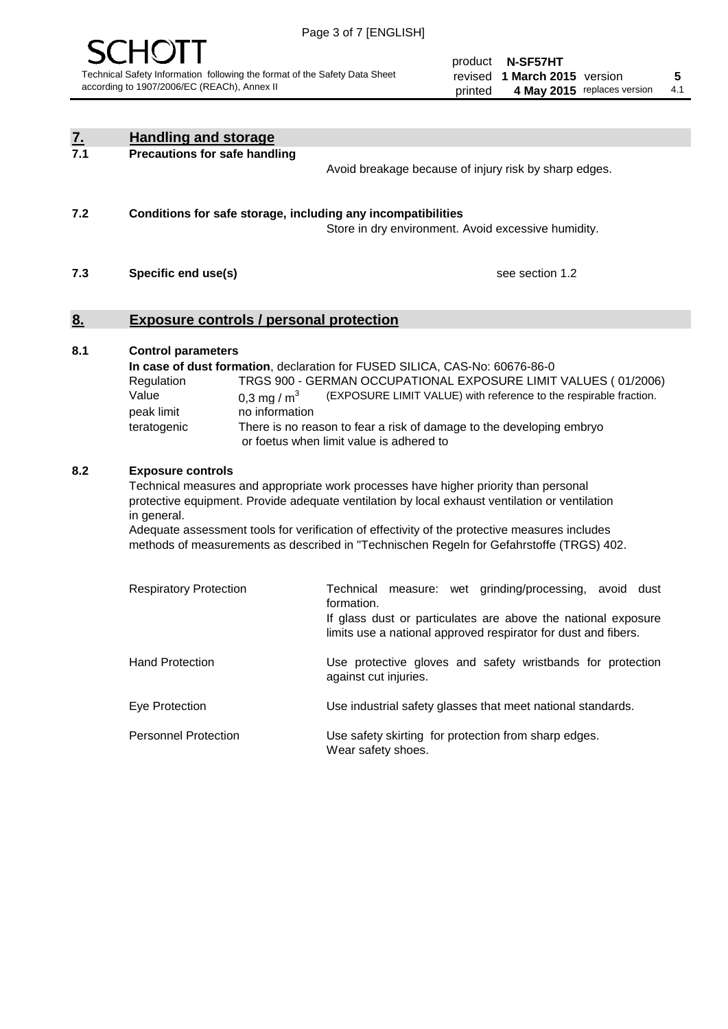

product **N-SF57HT** revised **5 1 March 2015** version printed 4 May 2015 replaces version 4.1

| $\frac{7}{7.1}$ | <b>Handling and storage</b>                                                                                      |                                                                                                                                                                                                                                                                                                                                                                                     |
|-----------------|------------------------------------------------------------------------------------------------------------------|-------------------------------------------------------------------------------------------------------------------------------------------------------------------------------------------------------------------------------------------------------------------------------------------------------------------------------------------------------------------------------------|
|                 | <b>Precautions for safe handling</b>                                                                             | Avoid breakage because of injury risk by sharp edges.                                                                                                                                                                                                                                                                                                                               |
| 7.2             | Conditions for safe storage, including any incompatibilities                                                     | Store in dry environment. Avoid excessive humidity.                                                                                                                                                                                                                                                                                                                                 |
| 7.3             | Specific end use(s)                                                                                              | see section 1.2                                                                                                                                                                                                                                                                                                                                                                     |
| 8 <sub>1</sub>  | <b>Exposure controls / personal protection</b>                                                                   |                                                                                                                                                                                                                                                                                                                                                                                     |
| 8.1             | <b>Control parameters</b><br>Regulation<br>Value<br>0,3 mg / $m3$<br>peak limit<br>no information<br>teratogenic | In case of dust formation, declaration for FUSED SILICA, CAS-No: 60676-86-0<br>TRGS 900 - GERMAN OCCUPATIONAL EXPOSURE LIMIT VALUES (01/2006)<br>(EXPOSURE LIMIT VALUE) with reference to the respirable fraction.<br>There is no reason to fear a risk of damage to the developing embryo<br>or foetus when limit value is adhered to                                              |
| 8.2             | <b>Exposure controls</b><br>in general.                                                                          | Technical measures and appropriate work processes have higher priority than personal<br>protective equipment. Provide adequate ventilation by local exhaust ventilation or ventilation<br>Adequate assessment tools for verification of effectivity of the protective measures includes<br>methods of measurements as described in "Technischen Regeln for Gefahrstoffe (TRGS) 402. |
|                 | <b>Respiratory Protection</b>                                                                                    | Technical<br>measure: wet grinding/processing,<br>avoid dust<br>formation.<br>If glass dust or particulates are above the national exposure<br>limits use a national approved respirator for dust and fibers.                                                                                                                                                                       |
|                 | <b>Hand Protection</b>                                                                                           | Use protective gloves and safety wristbands for protection<br>against cut injuries.                                                                                                                                                                                                                                                                                                 |
|                 | Eye Protection                                                                                                   | Use industrial safety glasses that meet national standards.                                                                                                                                                                                                                                                                                                                         |
|                 | <b>Personnel Protection</b>                                                                                      | Use safety skirting for protection from sharp edges.<br>Wear safety shoes.                                                                                                                                                                                                                                                                                                          |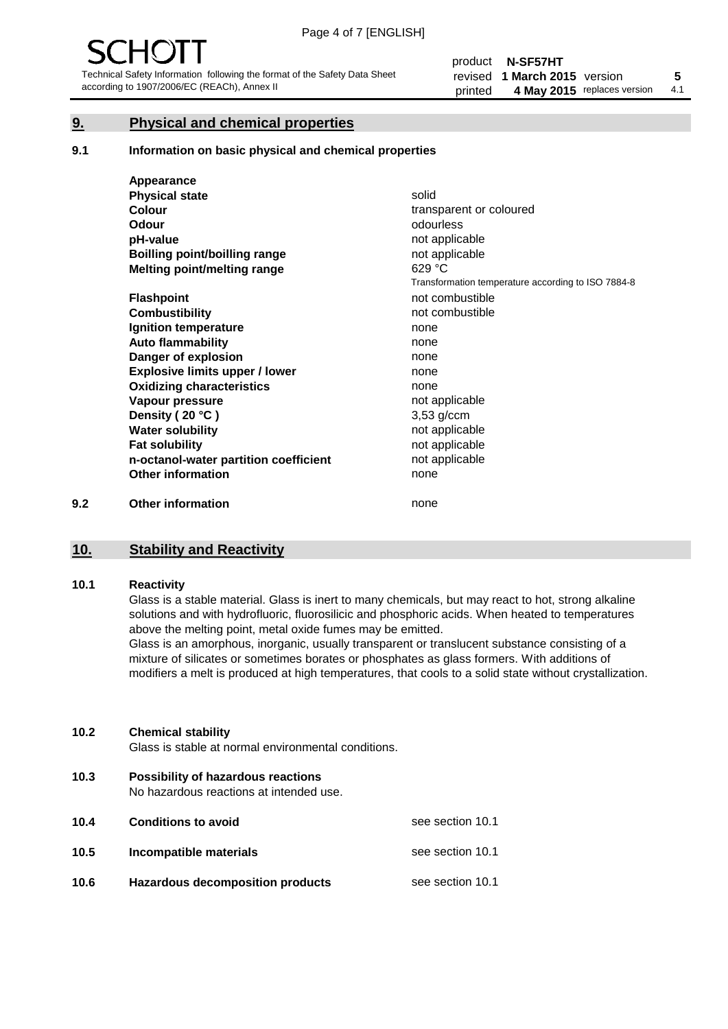#### **9. Physical and chemical properties**

#### **9.1 Information on basic physical and chemical properties**

|     | Appearance                            |                                                    |
|-----|---------------------------------------|----------------------------------------------------|
|     | <b>Physical state</b>                 | solid                                              |
|     | <b>Colour</b>                         | transparent or coloured                            |
|     | Odour                                 | odourless                                          |
|     | pH-value                              | not applicable                                     |
|     | Boilling point/boilling range         | not applicable                                     |
|     | Melting point/melting range           | 629 °C                                             |
|     |                                       | Transformation temperature according to ISO 7884-8 |
|     | <b>Flashpoint</b>                     | not combustible                                    |
|     | <b>Combustibility</b>                 | not combustible                                    |
|     | Ignition temperature                  | none                                               |
|     | <b>Auto flammability</b>              | none                                               |
|     | Danger of explosion                   | none                                               |
|     | <b>Explosive limits upper / lower</b> | none                                               |
|     | <b>Oxidizing characteristics</b>      | none                                               |
|     | Vapour pressure                       | not applicable                                     |
|     | Density (20 °C)                       | $3,53$ g/ccm                                       |
|     | <b>Water solubility</b>               | not applicable                                     |
|     | <b>Fat solubility</b>                 | not applicable                                     |
|     | n-octanol-water partition coefficient | not applicable                                     |
|     | <b>Other information</b>              | none                                               |
| 9.2 | <b>Other information</b>              | none                                               |

#### **10. Stability and Reactivity**

#### **10.1 Reactivity**

Glass is a stable material. Glass is inert to many chemicals, but may react to hot, strong alkaline solutions and with hydrofluoric, fluorosilicic and phosphoric acids. When heated to temperatures above the melting point, metal oxide fumes may be emitted.

Glass is an amorphous, inorganic, usually transparent or translucent substance consisting of a mixture of silicates or sometimes borates or phosphates as glass formers. With additions of modifiers a melt is produced at high temperatures, that cools to a solid state without crystallization.

#### **10.2 Chemical stability**

Glass is stable at normal environmental conditions.

**10.3 Possibility of hazardous reactions** 

No hazardous reactions at intended use.

| 10.4 | <b>Conditions to avoid</b>              | see section 10.1 |
|------|-----------------------------------------|------------------|
| 10.5 | Incompatible materials                  | see section 10.1 |
| 10.6 | <b>Hazardous decomposition products</b> | see section 10.1 |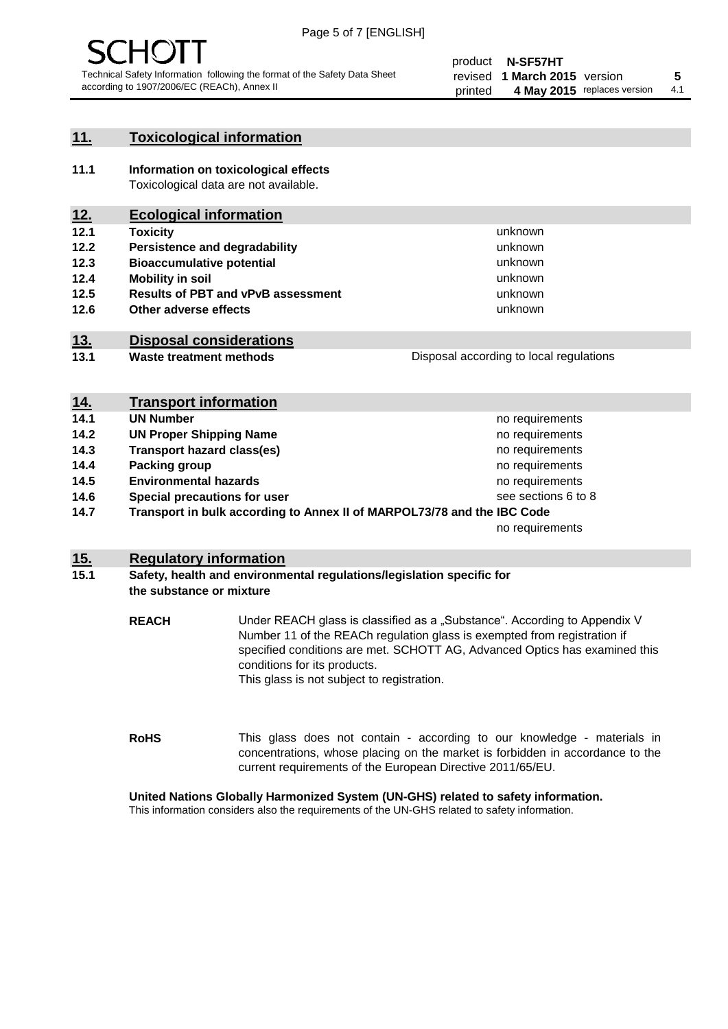

#### **11. Toxicological information**

**11.1 Information on toxicological effects** Toxicological data are not available.

### **12. Ecological information**

- **12.1 Toxicity**
- **12.2 Persistence and degradability**
- **12.3 Bioaccumulative potential**
- **12.4 Mobility in soil**
- **12.5 Results of PBT and vPvB assessment**
- **12.6 Other adverse effects**

#### **13. Disposal considerations**

**13.1 Waste treatment methods**

| Disposal according to local regulations |  |
|-----------------------------------------|--|
|                                         |  |

unknown unknown unknown unknown

unknown unknown

| <u>14.</u> | <b>Transport information</b>                                            |                     |
|------------|-------------------------------------------------------------------------|---------------------|
| 14.1       | <b>UN Number</b>                                                        | no requirements     |
| 14.2       | <b>UN Proper Shipping Name</b>                                          | no requirements     |
| 14.3       | <b>Transport hazard class(es)</b>                                       | no requirements     |
| 14.4       | Packing group                                                           | no requirements     |
| 14.5       | <b>Environmental hazards</b>                                            | no requirements     |
| 14.6       | Special precautions for user                                            | see sections 6 to 8 |
| 14.7       | Transport in bulk according to Annex II of MARPOL73/78 and the IBC Code |                     |
|            |                                                                         | no requirements     |

#### **15. Regulatory information**

#### **15.1 Safety, health and environmental regulations/legislation specific for the substance or mixture**

**REACH** Under REACH glass is classified as a "Substance". According to Appendix V Number 11 of the REACh regulation glass is exempted from registration if specified conditions are met. SCHOTT AG, Advanced Optics has examined this conditions for its products. This glass is not subject to registration.

**RoHS** This glass does not contain - according to our knowledge - materials in concentrations, whose placing on the market is forbidden in accordance to the current requirements of the European Directive 2011/65/EU.

#### **United Nations Globally Harmonized System (UN-GHS) related to safety information.**

This information considers also the requirements of the UN-GHS related to safety information.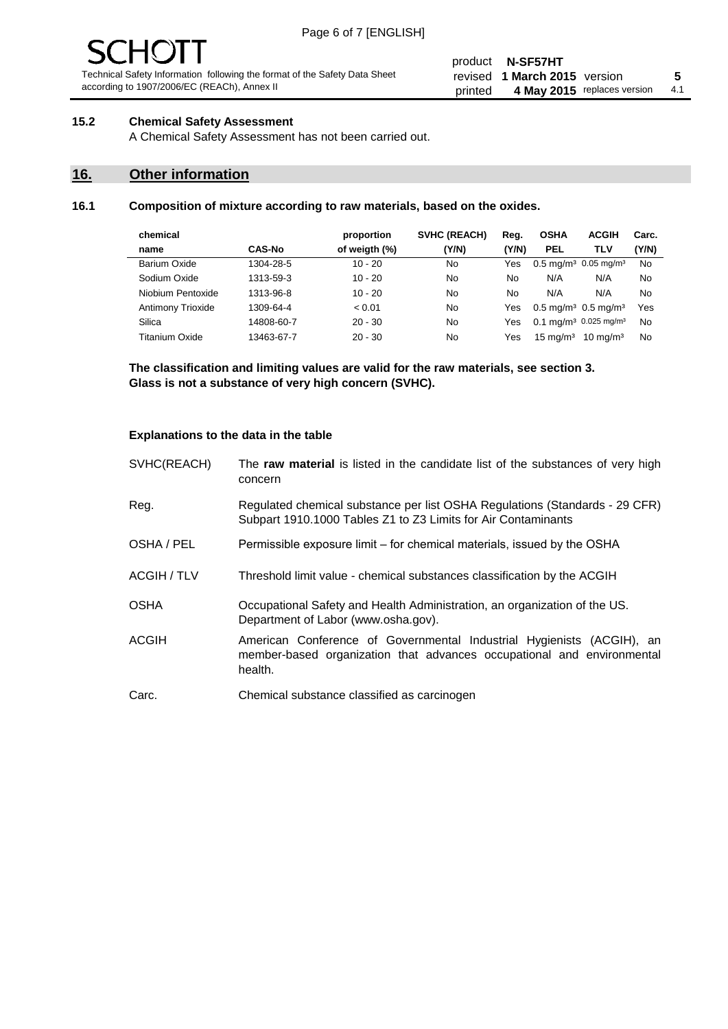# 10 J

Technical Safety Information following the format of the Safety Data Sheet according to 1907/2006/EC (REACh), Annex II

#### product **N-SF57HT** revised **5 1 March 2015** version printed 4 May 2015 replaces version 4.1

#### **15.2 Chemical Safety Assessment**

A Chemical Safety Assessment has not been carried out.

#### **16. Other information**

#### **16.1 Composition of mixture according to raw materials, based on the oxides.**

| <b>ACGIH</b><br>Carc.                                |
|------------------------------------------------------|
| (Y/N)                                                |
| $0.5 \text{ mg/m}^3$ 0.05 mg/m <sup>3</sup><br>No    |
| No                                                   |
| No                                                   |
| Yes<br>$0.5 \,\mathrm{mq/m^3}$ 0.5 mg/m <sup>3</sup> |
| 0.1 mg/m <sup>3</sup> 0.025 mg/m <sup>3</sup><br>No  |
| $10 \text{ ma/m}^3$<br>No                            |
| TLV<br>N/A<br>N/A                                    |

**The classification and limiting values are valid for the raw materials, see section 3. Glass is not a substance of very high concern (SVHC).**

#### **Explanations to the data in the table**

| SVHC(REACH)        | The raw material is listed in the candidate list of the substances of very high<br>concern                                                                 |
|--------------------|------------------------------------------------------------------------------------------------------------------------------------------------------------|
| Reg.               | Regulated chemical substance per list OSHA Regulations (Standards - 29 CFR)<br>Subpart 1910.1000 Tables Z1 to Z3 Limits for Air Contaminants               |
| OSHA / PEL         | Permissible exposure limit – for chemical materials, issued by the OSHA                                                                                    |
| <b>ACGIH / TLV</b> | Threshold limit value - chemical substances classification by the ACGIH                                                                                    |
| <b>OSHA</b>        | Occupational Safety and Health Administration, an organization of the US.<br>Department of Labor (www.osha.gov).                                           |
| ACGIH              | American Conference of Governmental Industrial Hygienists (ACGIH), an<br>member-based organization that advances occupational and environmental<br>health. |
| Carc.              | Chemical substance classified as carcinogen                                                                                                                |